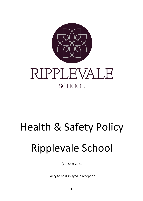

# Health & Safety Policy Ripplevale School

(V9) Sept 2021

Policy to be displayed in reception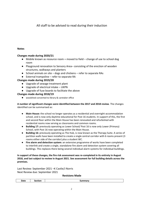All staff to be advised to read during their induction

# **Notes**

# **Changes made during 2020/21**

- Mobile known as resource room **–** moved to field change of use to school dog room
- Playground renovation to Sensory Area– consisting of the erection of wooden structures, walkways and planters
- School animals on site dogs and chickens refer to separate RAs
- External trampoline refer to separate RA

# **Changes made during 2019/20**

- Upgrade of sewage treatment plant
- Upgrade of electrical intake UKPN
- Upgrade of fuse boards to facilitate the above

# **Changes made during 2018/19**

● woodshed converted to library & caretaker office

# **A number of significant changes were identified between the 2017 and 2018 review**. The changes identified can be summarised as:

- **Main House:** the school no longer operates as a residential and overnight-accommodation school, and is now only daytime educational for Post 16 students. In support of this, the first and second floor within the Main House has been renovated and refurbished with residential rooms now serving as classrooms and common rooms.
- **Building 17:** previously operating as Lower School/ Post 16 is now only Lower (Primary) School, with Post 16 now operating within the Main House.
- **Building 16:** previously operating as The Hub, is now known as the Therapy Suite. A series of partition walls have been installed to create a single central corridor with 6 rooms present (3 rooms either side of the corridor) plus a student WC.
- **Fire alarm and detection system:** an extensive programme of works have been completed to interlink and create a single, standalone fire alarm and detection system covering all buildings. This replaces there being several individual alarm systems for individual buildings.

## **In support of these changes, the fire risk assessment was re-completed in its entirety in August 2018, and last subject to review in August 2021. See assessment for full building details across the premises.**

Last Review: September 2021 –K Castle/J Norris Next Review due: September 2021

## **Revisions Made**

| Date<br>- - -<br>$-1$<br>tior<br>Summar |
|-----------------------------------------|
|-----------------------------------------|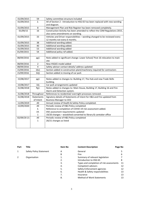| 01/09/2015  | 59             | Safety committee structure included                                          |  |  |  |  |
|-------------|----------------|------------------------------------------------------------------------------|--|--|--|--|
| 01/09/2015  | 2.             | All of Section 2 - Introduction to HSG 65 has been replaced with new wording |  |  |  |  |
|             |                | and diagram.                                                                 |  |  |  |  |
| 01/09/2015  | 8              | Management Plan and Risk Register has been removed completely.               |  |  |  |  |
| 01/09/15    | 16             | Construction Activity has been amended to reflect the CDM Regulations 2015,  |  |  |  |  |
|             |                | also some amendments on wording.                                             |  |  |  |  |
| 01/09/2015  | 33             | Vehicles and Driver responsibilities - wording changed to be reviewed every  |  |  |  |  |
|             |                | 12 months not every 6 months.                                                |  |  |  |  |
| 01/09/2015  | 38             | Additional wording added.                                                    |  |  |  |  |
| 01/09/2015  | 40             | Additional wording added.                                                    |  |  |  |  |
| 01/09/2015  | 53             | Additional wording added                                                     |  |  |  |  |
| 01/09/2015  | 54             | Additional policy ref added.                                                 |  |  |  |  |
|             |                |                                                                              |  |  |  |  |
| 08/09/2016  | pg1            | Note added re significant change: Lower School/ Post 16 relocation to main   |  |  |  |  |
|             |                | site                                                                         |  |  |  |  |
| 08/09/2016  | $\overline{2}$ | New HSG65 model added                                                        |  |  |  |  |
| 08/09/2016  | 4              | Safety advisor contact details/ address updated                              |  |  |  |  |
| 15/09/2016  | 16c)           | Section added re construction plant/machinery required for contractors       |  |  |  |  |
| 15/09/2016  | 32j)           | Section added re moving of car park                                          |  |  |  |  |
|             |                |                                                                              |  |  |  |  |
| 15/08/2017  | pg1            | Notes added re changes to: Building 17, The Hub and new Trade Skills         |  |  |  |  |
|             |                | building.                                                                    |  |  |  |  |
| 15/08/2017  | 32j            | Car park arrangements updated                                                |  |  |  |  |
| 31/08/2018  | Pg1            | Notes added re changes to: Main House, Building 17, Building 16 and Fire     |  |  |  |  |
|             |                | Alarm and Detection system.                                                  |  |  |  |  |
| 31/08/2018  | Throughout     | References to residential/overnight processes removed.                       |  |  |  |  |
| 31/08/2018  | Statements     | Signatory details of Statements of Intent for H&S and Fire updated from      |  |  |  |  |
|             | of Intent      | <b>Business Manager to CEO</b>                                               |  |  |  |  |
| 11/09/2019  | All            | Annual review of Health & Safety Policy completed.                           |  |  |  |  |
| 15/09/2020  | All            | Periodic review of H&S Policy completed                                      |  |  |  |  |
|             | 3.             | Reference to completion of COVID-19 risk assessment added.                   |  |  |  |  |
|             | 19.            | DSE assessment requirements updated                                          |  |  |  |  |
|             | $\mathbf 1$    | 19/20 changes - woodshed converted to library & caretaker office             |  |  |  |  |
| 02/09/20 21 | All            | Periodic review of H&S Policy completed                                      |  |  |  |  |
|             | $\mathbf 1$    | 20/21 changes as listed                                                      |  |  |  |  |
|             |                |                                                                              |  |  |  |  |
|             |                |                                                                              |  |  |  |  |

| Part | Title                   | <b>Item No</b> | <b>Content Description</b>               | Page No |
|------|-------------------------|----------------|------------------------------------------|---------|
| 1    | Safety Policy Statement | A              | General                                  |         |
|      |                         | B              | Fire                                     | 6       |
|      | Organisation            | 1.             | Summary of relevant legislation          |         |
|      |                         | 2.             | Introduction to HSG 65                   | 8       |
|      |                         | 3.             | Types and completion of risk assessments | 11      |
|      |                         | 4.             | Competent advisors                       | 12      |
|      |                         | 5.             | Safety Enforcement agencies              | 12      |
|      |                         | 6.             | Health & Safety responsibilities         | 13      |
|      |                         | 7.             | Insurance                                | 13      |
|      |                         | 8.             | <b>Method of Work Statements</b>         | 13      |
|      |                         |                |                                          |         |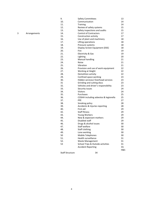| 3 | Arrangements |
|---|--------------|
|---|--------------|

|   |              | 9.                     | <b>Safety Committees</b>              | 13  |
|---|--------------|------------------------|---------------------------------------|-----|
|   |              | 10.                    | Communication                         | 14  |
|   |              | 11.                    | <b>Training</b>                       | 14  |
|   |              | 12.                    | Review of safety systems              | 15  |
|   |              | 13.                    | Safety inspections and audits         | 15  |
| 3 | Arrangements | 14.                    | <b>Control of Contractors</b>         | 17  |
|   |              | 15.                    | Construction activity                 | 17  |
|   |              | 16.                    | Use of plant and machinery            | 18  |
|   |              | 17.                    | Lifting operations                    | 18  |
|   |              | 18.                    | Pressure systems                      | 18  |
|   |              | 19.                    | Display Screen Equipment (DSE)        | 18  |
|   |              | 20.                    | Fire                                  | 19  |
|   |              | 21.                    | Electricity & Gas                     | 19  |
|   |              | 22.                    | Lighting                              | 20  |
|   |              | 23.                    | <b>Manual handling</b>                | 21  |
|   |              | 24.                    | <b>Noise</b>                          | 21  |
|   |              | 25.                    | Vibration                             | 21  |
|   |              | 26.                    | Provision and use of work equipment   | 22  |
|   |              | 27.                    | Working at Height                     | 22  |
|   |              | 28.                    | Demolition activity                   | 22  |
|   |              | 29.                    | Confined space working                | 23  |
|   |              | 30.                    | Hidden services/ Overhead services    | 23  |
|   |              | 31                     | Grinding and cutting discs            | 23  |
|   |              | 32.                    | Vehicles and driver's responsibility  | 23  |
|   |              | 33.                    | Security issues                       | 24  |
|   |              | 34.                    | Visitors                              | 24  |
|   |              | 35.                    | Purchases                             | 25  |
|   |              | 36.                    | COSHH including asbestos & legionella | 25  |
|   |              | 37.                    | PPE                                   | 27  |
|   |              | 38.                    | Smoking policy                        | 28  |
|   |              | 39.                    | Accidents & Injuries reporting        | 28  |
|   |              | 40.                    | First aid                             | 29  |
|   |              | 42.                    | Staff fitness                         | 29  |
|   |              | 43.                    | Young Workers                         | 29  |
|   |              | 44.                    | New & expectant mothers               | 29  |
|   |              | 45.                    | Disabled staff                        | 29  |
|   |              | 46.                    | Drugs & alcohol issues                | 30  |
|   |              | 47.                    | Staff welfare                         | 30  |
|   |              | 48.                    | Staff clothing                        | 30  |
|   |              | 49.                    | Lone working                          | 30  |
|   |              | 50                     | Mobile Telephones                     | 30  |
|   |              | 51.                    | Health surveillance                   | 31  |
|   |              | 52.                    | <b>Waste Management</b>               | 31  |
|   |              | 53                     | School Trips & Outside activities     | 31  |
|   |              |                        | <b>Accident Reporting</b>             | 33. |
|   |              |                        |                                       | H&S |
|   |              | <b>Staff Structure</b> | 34                                    |     |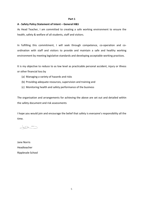#### **Part 1**

#### **A - Safety Policy Statement of Intent – General H&S**

As Head Teacher, I am committed to creating a safe working environment to ensure the health, safety & welfare of all students, staff and visitors.

In fulfilling this commitment, I will seek through competence, co-operation and coordination with staff and visitors to provide and maintain a safe and healthy working environment by meeting legislative standards and developing acceptable working practices.

It is my objective to reduce to as low level as practicable personal accident, injury or illness or other financial loss by

- (a) Managing a variety of hazards and risks
- (b) Providing adequate resources, supervision and training and
- (c) Monitoring health and safety performance of the business

The organisation and arrangements for achieving the above are set out and detailed within the safety document and risk assessments

I hope you would join and encourage the belief that safety is everyone's responsibility all the time.

 $\overline{CD}$ 

Jane Norris Headteacher Ripplevale School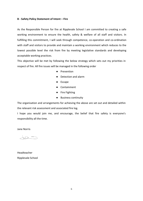#### **B - Safety Policy Statement of Intent – Fire**

As the Responsible Person for fire at Ripplevale School I am committed to creating a safe working environment to ensure the health, safety & welfare of all staff and visitors. In fulfilling this commitment, I will seek through competence, co-operation and co-ordination with staff and visitors to provide and maintain a working environment which reduces to the lowest possible level the risk from fire by meeting legislative standards and developing acceptable working practices.

This objective will be met by following the below strategy which sets out my priorities in respect of fire. All fire issues will be managed in the following order

- Prevention
- Detection and alarm
- Escape
- Containment
- Fire Fighting
- Business continuity

The organisation and arrangements for achieving the above are set out and detailed within the relevant risk assessment and associated fire log.

I hope you would join me, and encourage, the belief that fire safety is everyone's responsibility all the time.

Jane Norris

 $\overline{CD}$ 

Headteacher Ripplevale School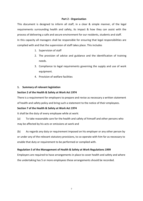# **Part 2 - Organisation**

This document is designed to inform all staff, in a clear & simple manner, of the legal requirements surrounding health and safety, its impact & how they can assist with the process of delivering a safe and secure environment for our residents, students and staff. In this capacity all managers shall be responsible for ensuring that legal responsibilities are complied with and that the supervision of staff takes place. This includes

- 1. Supervision of staff
- 2. The provision of advice and guidance and the identification of training needs.
- 3. Compliance to legal requirements governing the supply and use of work equipment.
- 4. Provision of welfare facilities

# **1. Summary of relevant legislation**

# **Section 2 of the Health & Safety at Work Act 1974**

There is a requirement for employers to prepare and revise as necessary a written statement of health and safety policy and bring such a statement to the notice of their employees.

# **Section 7 of the Health & Safety at Work Act 1974**

It shall be the duty of every employee while at work:

(a) To take reasonable care for the health and safety of himself and other persons who may be affected by his acts or omissions at work and

(b) As regards any duty or requirement imposed on his employer or any other person by or under any of the relevant statutory provisions, to co-operate with him far as necessary to enable that duty or requirement to be performed or complied with.

# **Regulation 5 of the Management of Health & Safety at Work Regulations 1999**

Employers are required to have arrangements in place to cover health and safety and where the undertaking has 5 or more employees these arrangements should be recorded.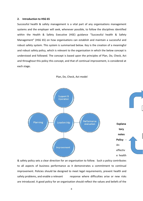#### **2. Introduction to HSG 65**

Successful health & safety management is a vital part of any organisations management systems and the employer will seek, whenever possible, to follow the disciplines identified within the Health & Safety Executive (HSE) guidance "Successful health & Safety Management" (HSG 65) on how organisations can establish and maintain a successful and robust safety system. This system is summarised below. Key is the creation of a meaningful and robust safety policy, which is relevant to the organisation in which the below concept is understood and followed. The concept is based upon the principles of Plan, Do, Check, Act and throughout this policy this concept, and that of continual improvement, is considered at each stage*.*



Plan, Do, Check, Act model

& safety policy sets a clear direction for an organisation to follow. Such a policy contributes to all aspects of business performance as it demonstrates a commitment to continual improvement. Policies should be designed to meet legal requirements, prevent health and safety problems, and enable a relevant response where difficulties arise or new risks are introduced. A good policy for an organisation should reflect the values and beliefs of the

8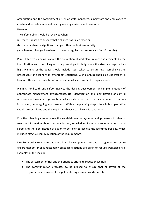organisation and the commitment of senior staff, managers, supervisors and employees to create and provide a safe and healthy working environment is required.

#### **Reviews**

The safety policy should be reviewed when

- (a) there is reason to suspect that a change has taken place or
- (b) there has been a significant change within the business activity
- (c) Where no changes have been made on a regular basis (normally after 12 months)

**Plan -** Effective planning is about the prevention of workplace injuries and accidents by the identification and controlling of risks present particularly when the risks are regarded as high. Planning of the policy should include steps taken to ensure legal compliance and procedures for dealing with emergency situations. Such planning should be undertaken in liaison with, and, in consultation with, staff at all levels within the organisation.

Planning for health and safety involves the design, development and implementation of appropriate management arrangements, risk identification and identification of control measures and workplace precautions which include not only the maintenance of systems introduced, but on-going improvements. Within the planning stages the whole organisation should be considered and the way in which each part links with each other.

Effective planning also requires the establishment of systems and processes to identify relevant information about the organisation, knowledge of the legal requirements around safety and the identification of action to be taken to achieve the identified policies, which includes effective communication of the requirements.

**Do -** For a policy to be effective there is a reliance upon an effective management system to ensure that so far as is reasonably practicable actions are taken to reduce workplace risk. Examples of this include

- The assessment of risk and the priorities arising to reduce those risks.
- The communication processes to be utilised to ensure that all levels of the organisation are aware of the policy, its requirements and controls

9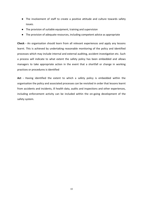- The involvement of staff to create a positive attitude and culture towards safety issues.
- The provision of suitable equipment, training and supervision
- The provision of adequate resources, including competent advice as appropriate

**Check -** An organisation should learn from all relevant experiences and apply any lessons learnt. This is achieved by undertaking reasonable monitoring of the policy and identified processes which may include internal and external auditing, accident investigation etc. Such a process will indicate to what extent the safety policy has been embedded and allows managers to take appropriate action in the event that a shortfall or change in working practices or procedures is identified

**Act -** Having identified the extent to which a safety policy is embedded within the organisation the policy and associated processes can be revisited in order that lessons learnt from accidents and incidents, ill health data, audits and inspections and other experiences, including enforcement activity can be included within the on-going development of the safety system.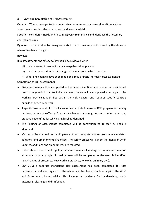#### **3. Types and Completion of Risk Assessment**

**Generic** – Where the organisation undertakes the same work at several locations such an assessment considers the core hazards and associated risks

**Specific** – considers hazards and risks in a given circumstance and identifies the necessary control measures

**Dynamic** – Is undertaken by managers or staff in a circumstance not covered by the above or where they have changed.

#### **Reviews**

Risk assessments and safety policy should be reviewed when

- (d) there is reason to suspect that a change has taken place or
- (e) there has been a significant change in the matters to which it relates
- (f) Where no changes have been made on a regular basis (normally after 12 months)

# **Completion of risk assessments**

- Risk assessments will be completed as the need is identified and whenever possible will seek to be generic in nature. Individual assessments will be completed when a particular working practice is identified within the Risk Register and requires specific controls outside of generic controls.
- A specific assessment of risk will always be completed on use of DSE, pregnant or nursing mothers, a person suffering from a disablement or young person or when a working practice is identified for which a high risk is identified.
- The findings of assessments completed will be communicated to staff as need is identified.
- Master copies are held on the Ripplevale School computer system from where updates, additions and amendments are made. The safety officer will advise the manager when updates, additions and amendments are required.
- Unless stated otherwise it is policy that assessments will undergo a formal assessment on an annual basis although informal reviews will be completed as the need is identified (e.g. changes of processes. New working practices, following an injury etc.).
- COVID-19: a separate standalone risk assessment has been completed for safe movement and distancing around the school, and has been completed against the WHO and Government issued advice. This includes all guidance for handwashing, social distancing, cleaning and disinfection.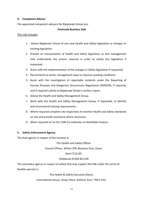# **4. Competent Advisor**

The appointed competent advisors for Ripplevale School are:

# **Peninsula Business Safe**

# This role includes

- 1. Advise Ripplevale School of any new Health and Safety legislation or changes to existing legislation.
- 2. Provide an interpretation of Health and Safety legislation so that management fully understands the actions required in order to satisfy this legislation if requested.
- 3. Assist with the implementation of the changes in Safety legislation if requested.
- 4. Recommend to senior management ways to improve working conditions.
- 5. Assist with the investigation of reportable incidents under the Reporting of Injuries Diseases and Dangerous Occurrences Regulations (RIDDOR), if required, and if required submit to Ripplevale School a written report.
- 6. Advise the Health and Safety Management Group.
- 7. Work with the Health and Safety Management Group, if requested, to identify and recommend training requirements.
- 8. Where required complete site inspections to monitor Health and Safety standards on site and provide assistance where necessary.
- 9. When required act as the CDM Co-ordinator on Notifiable Projects.

# **5. Safety Enforcement Agency**

The lead agency in respect of the location is:

The Health and Safety Officer

Council Offices, White Cliffs Business Park, Dover

# Kent CT16 3PJ

# Telephone 01304 821199

The secondary agency in respect of safety that may support the HSE under the terms of flexible warrant is:

The Health & Safety Executive (Kent),

International House, Dover Place, Ashford, Kent. TN23 1HU.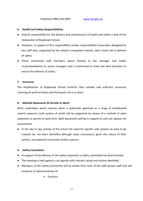#### **6. Health and Safety Responsibilities**

- Overall responsibility for the delivery and maintenance of health and safety is that of the Heateacher of Ripplevale School.
- However, in support of this responsibility certain responsibilities have been delegated to key staff who, supported by the school's competent advisor, take a lead role in delivery of safety.
- These nominated staff members report directly to the manager and makes recommendations to senior managers and is authorised to make low level decisions to ensure the delivery of safety.

#### **7. Insurance**

The Headteacher of Ripplevale School confirms that suitable and sufficient insurance covering all work activities and third party risk is in place.

## **8. Method Statements & Permits to Work**

Work undertaken which requires either a systematic approach or a range of complicated control measures (safe system of work) will be supported by means of a method of work statement or permit to work form. Both documents will be in support of, and not replace risk assessments.

● In the day to day activity of the school the need for specific safe systems of work to be created has not been identified although some contractors, given the nature of their activity, are expected to provide written systems.

## **9. Safety Committee**

- In support of the delivery of the safety statement a safety committee has been formed.
- The meeting is held against a set agenda with minutes raised and actions identified.
- Members of the safety Committee will be drawn from each of the staff groups staff and will comprise of representatives of:

 $\triangleright$  Teachers

13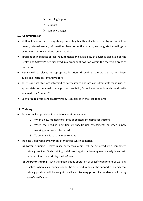- $\triangleright$  Learning Support
- $\triangleright$  Support
- **►** Senior Manager

# **10. Communication**

- Staff will be informed of any changes affecting health and safety either by way of School memo, internal e-mail, information placed on notice boards, verbally, staff meetings or by training sessions undertaken as required.
- Information in respect of legal requirements and availability of advice is displayed on the Health and Safety Poster displayed in a prominent position within the reception areas of both sites.
- Signing will be placed at appropriate locations throughout the work place to advise, guide and instruct staff and visitors.
- To ensure that staff are informed of safety issues and are consulted staff make use, as appropriate, of personal briefings, tool box talks, School memorandum etc. and invite any feedback from staff.
- Copy of Ripplevale School Safety Policy is displayed in the reception area

# **11. Training**

- Training will be provided in the following circumstances
	- 1. When a new member of staff is appointed, including contractors.
	- 2. When the need is identified by specific risk assessments or when a new working practice is introduced.
	- 3. To comply with a legal requirement.
- Training is delivered by a variety of methods which comprises
	- (a) **Formal training** Takes place every two years will be delivered by a competent training provider. Such training is delivered against a training needs analysis and will be determined on a priority basis of need.
	- (b) **Operator training**  such training includes operation of specific equipment or working practice. When such training cannot be delivered in house the support of an external training provider will be sought. In all such training proof of attendance will be by way of certification.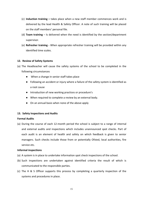- (c) **Induction training –** takes place when a new staff member commences work and is delivered by the lead Health & Safety Officer. A note of such training will be placed on the staff members' personal file.
- (d) **Team training** Is delivered when the need is identified by the section/department supervisor.
- (e) **Refresher training -** When appropriate refresher training will be provided within any identified time scales.

# **12. Review of Safety Systems**

- (a) The Headteacher will cause the safety systems of the school to be completed in the following circumstances
	- When a change in senior staff takes place
	- Following an accident or injury where a failure of the safety system is identified as a root cause
	- Introduction of new working practices or procedure's
	- When required to complete a review by an external body.
	- On an annual basis when none of the above apply

# **13. Safety Inspections and Audits**

## **Formal Audits**

(a) During the course of each 12-month period the school is subject to a range of internal and external audits and inspections which includes unannounced spot checks. Part of each audit is an element of health and safety on which feedback is given to senior managers. Such checks include those from or potentially Ofsted, local authorities, fire service etc.

# **Informal inspections**

- (a) A system is in place to undertake information spot check inspections of the school.
- (b) Such inspections are undertaken against identified criteria the result of which is communicated to the responsible parties.
- (c) The H & S Officer supports this process by completing a quarterly inspection of the systems and procedures in place.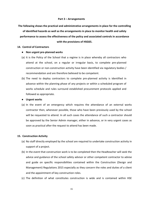#### **Part 3 – Arrangements**

**The following shows the practical and administrative arrangements in place for the controlling of identified hazards as well as the arrangements in place to monitor health and safety performance to assess the effectiveness of the policy and associated controls in accordance with the provisions of HSG65.**

#### **14. Control of Contractors**

#### ● **Non urgent pre-planned works**

- (a) It is the Policy of the School that a regime is in place whereby all contractors who attend at the school, on a regular or irregular basis, to complete pre-planned construction or non-construction activity have been identified via regulatory bodies / recommendation and are therefore believed to be competent.
- (b) The need to deploy contractors to complete pre-planned activity is identified in advance within the planning phase of any projects or within a scheduled program of works schedule and rules surround established procurement protocols applied and followed as appropriate.
- **Urgent works**
- (a) In the event of an emergency which requires the attendance of an external works contractor then, whenever possible, those who have been previously used by the school will be requested to attend. In all such cases the attendance of such a contractor should be approved by the Senior Admin manager, either in advance, or in very urgent cases as soon as practical after the request to attend has been made.

#### **15. Construction Activity**

- (a) No staff directly employed by the school are required to undertake construction activity in support of a project.
- (b) In the event that construction work is to be completed then the Headteacher will seek the advice and guidance of the school safety advisor or other competent contractor to advise and guide on specific responsibilities contained within the Construction (Design and Management) Regulations 2015 especially as they concern the roles and duties of a client and the appointment of key construction roles.
- (c) The definition of what constitutes construction is wide and is contained within HSE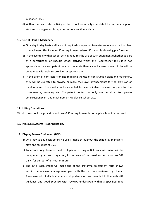Guidance L153.

(d) Within the day to day activity of the school no activity completed by teachers, support staff and management is regarded as construction activity.

#### **16. Use of Plant & Machinery**

- (a) On a day to day basis staff are not required or expected to make use of construction plant or machinery. This includes lifting equipment, scissor lifts, mobile elevating platforms etc.
- (b) In the eventuality that school activity requires the use of such equipment (whether as part of a construction or specific school activity) which the Headteacher feels it is not appropriate for a competent person to operate then a specific assessment of risk will be completed with training provided as appropriate.
- (c) In the event of contractors on site requiring the use of construction plant and machinery, they will be expected to provide or make their own arrangements for the provision of plant required. They will also be expected to have suitable processes in place for the maintenance, servicing etc. Competent contractors only are permitted to operate construction plant and machinery on Ripplevale School site.

#### **17. Lifting Operations**

Within the school the provision and use of lifting equipment is not applicable as it is not used.

#### **18. Pressure Systems - Not Applicable.**

#### **19. Display Screen Equipment (DSE)**

- (a) On a day to day basis extensive use is made throughout the school by managers, staff and students of DSE.
- (b) To ensure long term of health of persons using a DSE an assessment will be completed by all users regarded, in the view of the Headteacher, who use DSE daily, for periods of an hour or more.
- (c) The initial assessment will make use of the proforma assessment form shown within the relevant management plan with the outcome reviewed by Human Resources with individual advice and guidance on use provided in line with HSE guidance and good practice with reviews undertaken within a specified time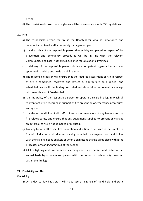period.

(d) The provision of corrective eye glasses will be in accordance with DSE regulations.

#### **20. Fire**

- (a) The responsible person for fire is the Headteahcer who has developed and communicated to all staff a fire safety management plan.
- (b) It is the policy of the responsible person that activity completed in respect of fire prevention and emergency procedures will be in line with the relevant Communities and Local Authorities guidance for Educational Premises.
- (c) In delivery of the responsible persons duties a competent organisation has been appointed to advise and guide on all fire issues.
- (d) The responsible person will ensure that the required assessment of risk in respect of fire is completed, reviewed and revised as appropriate on a regular and scheduled basis with the findings recorded and steps taken to prevent or manage with an outbreak of fire detailed.
- (e) It is the policy of the responsible person to operate a single fire log in which all relevant activity is recorded in support of fire prevention or emergency procedures and systems.
- (f) It is the responsibility of all staff to inform their managers of any issues affecting fire related safety and ensure that any equipment supplied to prevent or manage an outbreak of fire is not damaged or misused.
- (g) Training for all staff covers fire prevention and action to be taken in the event of a fire with induction and refresher training provided on a regular basis and in line with the training needs analysis or when a significant change takes place within the processes or working practices of the school.
- (h) All fire fighting and fire detection alarm systems are checked and tested on an annual basis by a competent person with the record of such activity recorded within the fire log.

#### **21. Electricity and Gas**

#### **Electricity**

(a) On a day to day basis staff will make use of a range of hand held and static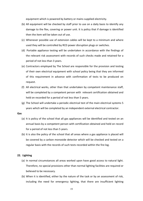equipment which is powered by battery or mains supplied electricity.

- (b) All equipment will be checked by staff prior to use on a daily basis to identify any damage to the flex, covering or power unit. It is policy that if damage is identified then the item will be taken out of use.
- (c) Whenever possible use of extension cables will be kept to a minimum and where used they will be controlled by RCD power disruption plugs or switches.
- (d) Portable appliance testing will be undertaken in accordance with the findings of the relevant risk assessment with records of such checks made and retained for a period of not less than 3 years.
- (e) Contractors employed by The School are responsible for the provision and testing of their own electrical equipment with school policy being that they are informed of this requirement in advance with confirmation of tests to be produced on request.
- (f) All electrical works, other than that undertaken by competent maintenance staff, will be completed by a competent person with relevant certification obtained and held on recorded for a period of not less than 5 years.
- (g) The School will undertake a periodic electrical test of the main electrical systems 5 years which will be completed by an independent external electrical contractor.

#### **Gas**

- (a) It is policy of the school that all gas appliances will be identified and tested on an annual basis by a competent person with certification obtained and held on record for a period of not less than 5 years.
- (b) It is also the policy of the school that all areas where a gas appliance is placed will be covered by a carbon monoxide detector which will be checked and tested on a regular basis with the records of such tests recorded within the fire log.

#### **22. Lighting**

- (a) In normal circumstances all areas worked upon have good access to natural light. Therefore, no special provisions other than normal lighting facilities are required or believed to be necessary.
- (b) When it is identified, either by the nature of the task or by an assessment of risk, including the need for emergency lighting, that there are insufficient lighting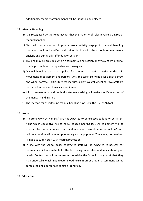additional temporary arrangements will be identified and placed.

## **23. Manual Handling**

- (a) It is recognised by the Headteacher that the majority of roles involve a degree of manual handling.
- (b) Staff who as a matter of general work activity engage in manual handling operations will be identified and trained in line with the schools training needs analysis and during all staff induction sessions.
- (c) Training may be provided within a formal training session or by way of by informal briefings completed by supervisors or managers.
- (d) Manual handling aids are supplied for the use of staff to assist in the safe movement of equipment and persons. Only the care taker who uses a sack barrow and wheel barrow. Horticulture teacher uses a light weight wheel barrow. Staff are be trained in the use of any such equipment.
- (e) All risk assessments and method statements arising will make specific mention of the manual handling risk.
- (f) The method for ascertaining manual handling risks is via the HSE MAC tool

#### **24. Noise**

- (a) In normal work activity staff are not expected to be exposed to loud or persistent noise which could give rise to noise induced hearing loss. All equipment will be assessed for potential noise issues and whenever possible noise reduction/levels will be a consideration when purchasing such equipment. Therefore, no provision is made to supply staff with hearing protection.
- (b) In line with the School policy contracted staff will be expected to possess ear defenders which are suitable for the task being undertaken and in a state of good repair. Contractors will be requested to advise the School of any work that they may undertake which may create a loud noise in order that an assessment can be completed and appropriate controls identified.

#### **25. Vibration**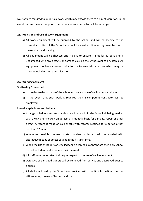No staff are required to undertake work which may expose them to a risk of vibration. In the event that such work is required then a competent contractor will be employed.

## **26. Provision and Use of Work Equipment**

- (a) All work equipment will be supplied by the School and will be specific to the present activities of the School and will be used as directed by manufacturer's instructions and training.
- (b) All equipment will be checked prior to use to ensure it is fit for purpose and is undamaged with any defects or damage causing the withdrawal of any items. All equipment has been assessed prior to use to ascertain any risks which may be present including noise and vibration

## **27. Working at Height**

#### **Scaffolding/tower units**

- (a) In the day to day activity of the school no use is made of such access equipment.
- (b) In the event that such work is required then a competent contractor will be employed.

#### **Use of step ladders and ladders**

- (a) A range of ladders and step ladders are in use within the School all being marked with a URN and checked on at least a 4 monthly basis for damage, repair or other defect. A record is made of such checks with records retained for a period of not less than 12 months.
- (b) Whenever possible the use of step ladders or ladders will be avoided with alternative means of access sought in the first instance.
- (c) When the use of ladders or step ladders is deemed as appropriate then only School owned and identified equipment will be used.
- (d) All staff have undertaken training in respect of the use of such equipment.
- (e) Defective or damaged ladders will be removed from service and destroyed prior to disposal.
- (f) All staff employed by the School are provided with specific information from the HSE covering the use of ladders and steps.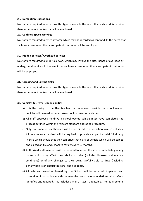#### **28. Demolition Operations**

No staff are required to undertake this type of work. In the event that such work is required then a competent contractor will be employed.

#### **29. Confined Space Working**

No staff are required to enter any area which may be regarded as confined. In the event that such work is required then a competent contractor will be employed.

#### **30. Hidden Services/ Overhead Services**

No staff are required to undertake work which may involve the disturbance of overhead or underground services. In the event that such work is required then a competent contractor will be employed.

## **31. Grinding and Cutting disks**

No staff are required to undertake this type of work. In the event that such work is required then a competent contractor will be employed.

## **32. Vehicles & Driver Responsibilities**

- (a) It is the policy of the Headteacher that whenever possible on school owned vehicles will be used to undertake school business or activities.
- (b) All staff approved to drive a school owned vehicle must have completed the process outlined within the relevant standard operating procedure.
- (c) Only staff members authorised will be permitted to drive school owned vehicles. All persons so authorised will be required to provide a copy of a valid full driving license which shows that they can drive that class of vehicle which will be copied and placed on file and school to review every 12 months.
- (d) Authorised staff members will be required to inform the school immediately of any issues which may affect their ability to drive (includes illnesses and medical conditions) or of any changes to their being lawfully able to drive (including penalty points or disqualifications) and accidents.
- (e) All vehicles owned or leased by the School will be serviced, inspected and maintained in accordance with the manufacturers recommendations with defects identified and repaired. This includes any MOT test if applicable. The requirements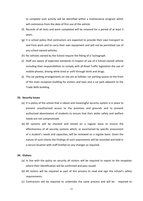to complete such activity will be identified within a maintenance program which will commence from the date of first use of the vehicle.

- (f) Records of all tests and work completed will be retained for a period of at least 3 years.
- (g) It is school policy that contractors are expected to provide their own transport to and from work and to carry their own equipment and will not be permitted use of any school owned vehicles.
- (h) No vehicles owned by the School require the fitting of a Tachograph.
- (i) Staff are aware of expected standards in respect of use of a School owned vehicle including their responsibilities to comply with all Road Traffic legislation the use of mobile phones, driving while tired or unfit through drink and drugs.
- (j) The car parking arrangements on site are as follows: car parking spaces to the front of the main reception building for visitors and taxis and a car park adjacent to the Trade Skills building.

#### **33. Security Issues**

- (a) It is policy of the school that a robust and meaningful security system is in place to prevent unauthorised access to the premises and grounds and to prevent authorised absenteeism of students to ensure that their wider safety and welfare needs are not compromised.
- (b) All systems will be checked and tested on a regular basis to ensure the effectiveness of all security systems which, as ascertained by specific assessment of a student's needs and capacities, will be reviewed on a regular basis. Given the nature of such checks the findings of such assessments will be recorded and held in a secure location with staff briefed on any changes as required.

# **34. Visitors**

- (a) In line with the policy on security all visitors will be required to report to the reception where their identification will be confirmed and pass issued.
- (b) All visitors will be required as part of this process to read and sign the school's safety requirements.
- (c) Contractors will be required to undertake the same process and will be required to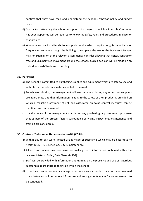confirm that they have read and understood the school's asbestos policy and survey report.

- (d) Contractors attending the school in support of a project is which a Principle Contractor has been appointed will be required to follow the safety rules and procedures in place for that project.
- (e) Where a contractor attends to complete works which require long term activity or frequent movement through the building to complete the works the Business Manager may, on submission of the relevant assessments, consider allowing that visitor/contractor free and unsupervised movement around the school. Such a decision will be made on an individual needs' basis and in writing.

#### **35. Purchases**

- (a) The School is committed to purchasing supplies and equipment which are safe to use and suitable for the role reasonably expected to be used.
- (b) To achieve this aim, the management will ensure, when placing any order that suppliers are appropriate and that information relating to the safety of their product is provided on which a realistic assessment of risk and associated on-going control measures can be identified and implemented.
- (c) It is the policy of the management that during any purchasing or procurement processes that as part of the process factors surrounding servicing, inspections, maintenance and training are considered.

#### **36. Control of Substances Hazardous to Health (COSHH)**

- (a) Within day to day work, limited use is made of substance which may be hazardous to health (COSHH). (science lab, D & T, maintenance)
- (b) All such substances have been assessed making use of information contained within the relevant Material Safety Data Sheet (MSDS).
- (c) Staff will be provided with information and training on the presence and use of hazardous substances appropriate to their role within the school.
- (d) If the Headteacher or senior managers become aware a product has not been assessed the substance shall be removed from use and arrangements made for an assessment to be conducted.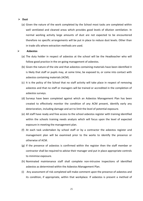#### ⮚ **Dust**

(a) Given the nature of the work completed by the School most tasks are completed within well ventilated and cleaned areas which provides good levels of dilution ventilation. In normal working activity large amounts of dust are not expected to be encountered therefore no specific arrangements will be put in place to reduce dust levels. Other than in trade sills where extraction methods are used.

#### ⮚ **Asbestos**

- (a) The duty holder in respect of asbestos at the school will be the Headteacher who will follow good practice in the on-going management of asbestos.
- (b) Given the nature of the site and that asbestos containing materials have been identified it is likely that staff or pupils may, at some time, be exposed to, or come into contact with asbestos containing materials (ACM).
- (c) It is the policy of the School that no staff activity will take place in respect of removing asbestos and that no staff or managers will be trained or accredited in the completion of asbestos surveys.
- (d) Surveys have been completed against which an Asbestos Management Plan has been created to effectively monitor the condition of any ACM present, identify early any deterioration, including damage and act to limit the level of potential exposure.
- (e) All staff have ready and free access to the school asbestos register with training identified within the schools training needs analysis which will focus upon the level of expected exposure in meeting the management plan.
- (f) At each task undertaken by school staff or by a contractor the asbestos register and management plan will be examined prior to the works to identify the presence or otherwise of ACM.
- (g) If the presence of asbestos is confirmed within the register then the staff member or contractor shall be required to advise their manager and put in place appropriate controls to minimise exposure.
- (h) Nominated maintenance staff shall complete non-intrusive inspections of identified asbestos as determined within the Asbestos Management Plan.
- (i) Any assessment of risk completed will make comment upon the presence of asbestos and its condition, if appropriate, within that workplace. If asbestos is present a method of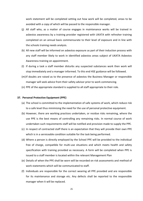work statement will be completed setting out how work will be completed, areas to be avoided with a copy of which will be passed to the responsible manager.

- (j) All staff who, as a matter of course engages in maintenance works will be trained in asbestos awareness by a training provider registered with UKATA with refresher training completed on an annual basis commensurate to their level of exposure and in line with the schools training needs analysis.
- (k) All new staff will be informed on asbestos exposure as part of their induction process with any staff member likely to work in identified asbestos areas subject of UKATA Asbestos Awareness training on appointment.
- (l) If during a task a staff member disturbs any suspected substances work then work will stop immediately and a manager informed. To this end HSE guidance will be followed.
- (m)If doubts are raised as to the presence of asbestos the Business Manager or responsible manager will seek advice from their safety advisor prior to work commencing.
- (n) PPE of the appropriate standard is supplied to all staff appropriate to their role.

#### **37. Personal Protective Equipment (PPE)**

- (a) The school is committed to the implementation of safe systems of work, which reduce risk to a safe level thus minimising the need for the use of personal protective equipment.
- (b) However, there are working practices undertaken, or residue risks remaining, where the use PPE is the best means of controlling any remaining risks. In normal course of work undertaken such requirements staff will be notified and provision made to supply the PPE.
- (c) In respect of contracted staff there is an expectation that they will provide their own PPE which is in a serviceable condition suitable for the task being performed.
- (d) Where a person is directly employed by the School PPE will be provided to the individual free of charge, compatible for multi-use situations and which meets health and safety specification with training provided as necessary. A form will be completed when PPE is issued to a staff member is located within the relevant Management Plan
- (e) Details of when the PPE shall be worn will be recorded on risk assessments and method of work statements which will be communicated to staff.
- (f) Individuals are responsible for the correct wearing all PPE provided and are responsible for its maintenance and storage etc. Any defects shall be reported to the responsible manager when it will be replaced.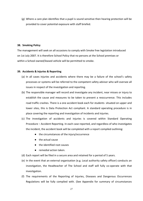(g) Where a care plan identifies that a pupil is sound sensitive then hearing protection will be provided to cover potential exposure with staff briefed.

#### **38. Smoking Policy**

The management will seek on all occasions to comply with Smoke free legislation introduced on 1st July 2007. It is therefore School Policy that no persons at the School premises or within a School owned/leased vehicle will be permitted to smoke.

# **39. Accidents & Injuries & Reporting**

- (a) In all cases injuries and accidents where there may be a failure of the school's safety processes or systems will be referred to the competent safety advisor who will oversee all issues in respect of the investigation and reporting.
- (b) The responsible manager will record and investigate any incident, near misses or injury to establish the cause and measures to be taken to prevent a reoccurrence. This includes road traffic crashes. There is a one accident book each for students situated on upper and lower sites, this is Data Protection Act compliant. A standard operating procedure is in place covering the reporting and investigation of incidents and injuries.
- (c) The investigation of accidents and injuries is covered within Standard Operating Procedure – Accident Reporting. In each case reported, and regardless of who investigates the incident, the accident book will be completed with a report compiled outlining:
	- the circumstances of the injury/occurrence
	- the actual cause
	- the identified root causes
	- remedial action taken.
- (d) Each report will be filed in a secure area and retained for a period of 5 years.
- (e) In the event that an external organisation (e.g. Local authority safety officer) conducts an investigation, the Headteacher of The School and staff will fully co-operate with that investigation.
- (f) The requirements of the Reporting of Injuries, Diseases and Dangerous Occurrences Regulations will be fully complied with. (See Appendix for summary of circumstances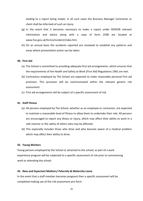leading to a report being made). In all such cases the Business Manager Contractor or client shall be informed of such an injury.

- (g) In the event that it becomes necessary to make a report under RIDDOR relevant information and advice along with a copy of form 2508 are located at [www.hse.gov.uk/forms/incident/index.htm](http://www.hse.gov.uk/forms/incident/index.htm)
- (h) On an annual basis the accidents reported are reviewed to establish any patterns and areas where preventative action can be taken.

#### **40. First Aid**

- (a) The School is committed to providing adequate first aid arrangements, which ensures that the requirements of the Health and Safety at Work (First Aid) Regulations 1981 are met.
- (b) Contractors employed by The School are expected to make reasonable personal first aid provision. This provision will be communicated within the relevant generic risk assessment.
- (c) First aid arrangements will be subject of a specific assessment of risk.

#### **41. Staff Fitness**

- (a) All persons employed by The School, whether as an employee or contractor, are expected to maintain a reasonable level of fitness to allow them to undertake their role. All persons are encouraged to report any illness or injury, which may affect their ability to work in a safe manner or the safety of others who may be affected.
- (b) This especially includes those who drive and who become aware of a medical problem which may affect their ability to drive.

#### **42. Young Workers**

Young persons employed by the School or attached to the school, as part of a work experience program will be subjected to a specific assessment of risk prior to commencing work or attending the school.

#### **43. New and Expectant Mothers/ Paternity & Maternity Leave**

In the event that a staff member becomes pregnant then a specific assessment will be completed making use of the risk assessment pro-form.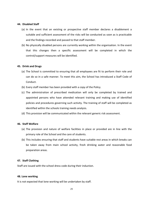#### **44. Disabled Staff**

- (a) In the event that an existing or prospective staff member declares a disablement a suitable and sufficient assessment of the risks will be conducted as soon as is practicable and the findings recorded and passed to that staff member.
- (b) No physically disabled persons are currently working within the organisation. In the event that this changes then a specific assessment will be completed in which the control/support measures will be identified.

#### **45. Drink and Drugs**

- (a) The School is committed to ensuring that all employees are fit to perform their role and can do so in a safe manner. To meet this aim, the School has introduced a Staff Code of Conduct.
- (b) Every staff member has been provided with a copy of the Policy.
- (c) The administration of prescribed medication will only be completed by trained and appointed persons who have attended relevant training and making use of identified policies and procedures governing such activity. The training of staff will be completed as identified within the schools training needs analysis.
- (d) This provision will be communicated within the relevant generic risk assessment.

#### **46. Staff Welfare**

- (a) The provision and nature of welfare facilities in place or provided are in line with the primary role of the School and the care of students.
- (b) This includes ensuring that staff and students have suitable rest areas in which breaks can be taken away from main school activity, fresh drinking water and reasonable food preparation areas.

## **47. Staff Clothing**

Staff are issued with the school dress code during their induction.

#### **48. Lone working**

It is not expected that lone working will be undertaken by staff.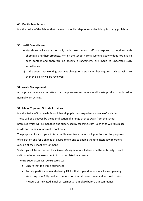# **49. Mobile Telephones**

It is the policy of the School that the use of mobile telephones while driving is strictly prohibited.

## **50. Health Surveillance**

- (a) Health surveillance is normally undertaken when staff are exposed to working with chemicals and their products. Within the School normal working activity does not involve such contact and therefore no specific arrangements are made to undertake such surveillance.
- (b) In the event that working practices change or a staff member requires such surveillance then this policy will be reviewed.

# **51. Waste Management**

An approved waste carrier attends at the premises and removes all waste products produced in normal work activity.

# **52. School Trips and Outside Activities**

It is the Policy of Ripplevale School that all pupils must experience a range of activities. These will be achieved by the identification of a range of trips away from the school premises which will be managed and supervised by teaching staff. Such trips will take place inside and outside of normal school hours.

The purpose of such trips is to take pupils away from the school, premises for the purposes of relaxation and for a change of environment and to enable them to interact with others outside of the school environment.

Such trips will be authorised by a Senior Manager who will decide on the suitability of each visit based upon an assessment of risk completed in advance.

The trip supervisors will be expected to:

- Ensure that the trip is authorised;
- To fully participate in undertaking RA for that trip and to ensure all accompanying staff they have fully read and understood the rick assessment and ensured control measure as indicated in risk assessment are in place before trip commences.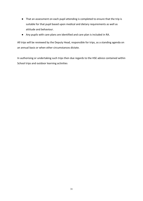- That an assessment on each pupil attending is completed to ensure that the trip is suitable for that pupil based upon medical and dietary requirements as well as attitude and behaviour.
- Any pupils with care plans are identified and care plan is included in RA.

All trips will be reviewed by the Deputy Head, responsible for trips, as a standing agenda on an annual basis or when other circumstances dictate.

In authorising or undertaking such trips then due regards to the HSE advice contained within School trips and outdoor learning activities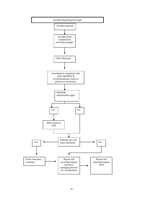